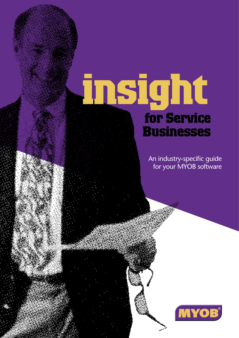# **insight for Service Businesses**

An industry-specific guide for your MYOB software

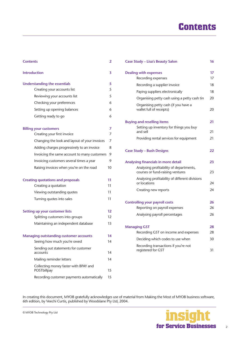# **Contents**

| <b>Contents</b>                                      | 2  |
|------------------------------------------------------|----|
| <b>Introduction</b>                                  | 3  |
| <b>Understanding the essentials</b>                  | 5  |
| Creating your accounts list                          | 5  |
| Reviewing your accounts list                         | 5  |
| Checking your preferences                            | 6  |
| Setting up opening balances                          | 6  |
| Getting ready to go                                  | 6  |
| <b>Billing your customers</b>                        | 7  |
| Creating your first invoice                          | 7  |
| Changing the look and layout of your invoices        | 7  |
| Adding charges progressively to an invoice           | 8  |
| Invoicing the same account to many customers         | 9  |
| Invoicing customers several times a year             | 9  |
| Raising invoices when you're on the road             | 10 |
| <b>Creating quotations and proposals</b>             | 11 |
| Creating a quotation                                 | 11 |
| Viewing outstanding quotes                           | 11 |
| Turning quotes into sales                            | 11 |
| <b>Setting up your customer lists</b>                | 12 |
| Splitting customers into groups                      | 12 |
| Maintaining an independent database                  | 13 |
| <b>Managing outstanding customer accounts</b>        | 14 |
| Seeing how much you're owed                          | 14 |
| Sending out statements for customer<br>accounts      | 14 |
| Mailing reminder letters                             | 14 |
| Collecting money faster with BPAY and<br>POSTbillpay | 15 |
| Recording customer payments automatically            | 15 |

| <b>Case Study - Lisa's Beauty Salon</b>                                     | 16 |
|-----------------------------------------------------------------------------|----|
| <b>Dealing with expenses</b>                                                | 17 |
| Recording expenses                                                          | 17 |
| Recording a supplier invoice                                                | 18 |
| Paying suppliers electronically                                             | 18 |
| Organising petty cash using a petty cash tin                                | 20 |
| Organising petty cash (if you have a<br>wallet full of receipts)            | 20 |
| <b>Buying and reselling items</b>                                           | 21 |
| Setting up inventory for things you buy<br>and sell                         | 21 |
| Providing rental services for equipment                                     | 21 |
| <b>Case Study - Bush Designs</b>                                            | 22 |
| Analysing financials in more detail                                         | 23 |
| Analysing profitability of departments,<br>courses or fund-raising ventures | 23 |
| Analysing profitability of different divisions<br>or locations              | 24 |
| Creating new reports                                                        | 24 |
| <b>Controlling your payroll costs</b>                                       | 26 |
| Reporting on payroll expenses                                               | 26 |
| Analysing payroll percentages                                               | 26 |
| <b>Managing GST</b>                                                         | 28 |
| Recording GST on income and expenses                                        | 28 |
| Deciding which codes to use when                                            | 30 |
| Recording transactions if you're not<br>registered for GST                  | 31 |

In creating this document, MYOB gratefully acknowledges use of material from Making the Most of MYOB business software, 6th edition, by Veechi Curtis, published by Woodslane Pty Ltd, 2004.

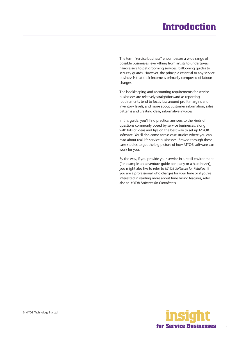# **Introduction**

<span id="page-2-0"></span>The term "service business" encompasses a wide range of possible businesses, everything from artists to undertakers, hairdressers to pet grooming services, ballooning guides to security guards. However, the principle essential to any service business is that their income is primarily composed of labour charges.

The bookkeeping and accounting requirements for service businesses are relatively straightforward as reporting requirements tend to focus less around profit margins and inventory levels, and more about customer information, sales patterns and creating clear, informative invoices.

In this guide, you'll find practical answers to the kinds of questions commonly posed by service businesses, along with lots of ideas and tips on the best way to set up MYOB software. You'll also come across case studies where you can read about real-life service businesses. Browse through these case studies to get the big picture of how MYOB software can work for you.

By the way, if you provide your service in a retail environment (for example an adventure guide company or a hairdresser), you might also like to refer to *MYOB Software for Retailers*. If you are a professional who charges for your time or if you're interested in reading more about time billing features, refer also to *MYOB Software for Consultants*.

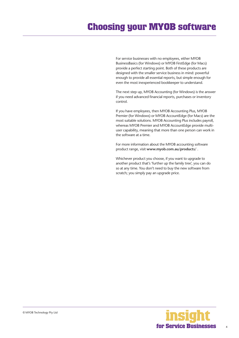# **Choosing your MYOB software**

For service businesses with no employees, either MYOB BusinessBasics (for Windows) or MYOB FirstEdge (for Macs) provide a perfect starting point. Both of these products are designed with the smaller service business in mind: powerful enough to provide all essential reports, but simple enough for even the most inexperienced bookkeeper to understand.

The next step up, MYOB Accounting (for Windows) is the answer if you need advanced financial reports, purchases or inventory control.

If you have employees, then MYOB Accounting Plus, MYOB Premier (for Windows) or MYOB AccountEdge (for Macs) are the most suitable solutions. MYOB Accounting Plus includes payroll, whereas MYOB Premier and MYOB AccountEdge provide multiuser capability, meaning that more than one person can work in the software at a time.

For more information about the MYOB accounting software product range, visit **www.myob.com.au/products/** .

Whichever product you choose, if you want to upgrade to another product that's 'further up the family tree', you can do so at any time. You don't need to buy the new software from scratch; you simply pay an upgrade price.



4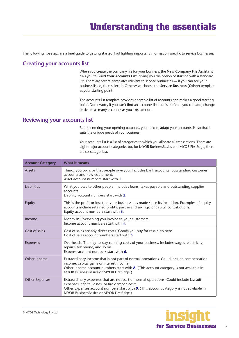# **Understanding the essentials**

<span id="page-4-0"></span>The following five steps are a brief guide to getting started, highlighting important information specific to service businesses.

### **Creating your accounts list**

When you create the company file for your business, the **New Company File Assistant**  asks you to **Build Your Accounts List**, giving you the option of starting with a standard list. There are several templates relevant to service businesses — if you can see your business listed, then select it. Otherwise, choose the **Service Business (Other)** template as your starting point.

The accounts list template provides a sample list of accounts and makes a good starting point. Don't worry if you can't find an accounts list that is perfect - you can add, change or delete as many accounts as you like, later on.

### **Reviewing your accounts list**

Before entering your opening balances, you need to adapt your accounts list so that it suits the unique needs of your business.

Your accounts list is a list of categories to which you allocate all transactions. There are eight major account categories (or, for MYOB BusinessBasics and MYOB FirstEdge, there are six categories).

| <b>Account Category</b> | <b>What it means</b>                                                                                                                                                                                                                                                          |
|-------------------------|-------------------------------------------------------------------------------------------------------------------------------------------------------------------------------------------------------------------------------------------------------------------------------|
| Assets                  | Things you own, or that people owe you. Includes bank accounts, outstanding customer<br>accounts and new equipment.<br>Asset account numbers start with 1.                                                                                                                    |
| Liabilities             | What you owe to other people. Includes loans, taxes payable and outstanding supplier<br>accounts.<br>Liability account numbers start with 2.                                                                                                                                  |
| Equity                  | This is the profit or loss that your business has made since its inception. Examples of equity<br>accounts include retained profits, partners' drawings, or capital contributions.<br>Equity account numbers start with 3.                                                    |
| Income                  | Money in! Everything you invoice to your customers.<br>Income account numbers start with 4.                                                                                                                                                                                   |
| Cost of sales           | Cost of sales are any direct costs. Goods you buy for resale go here.<br>Cost of sales account numbers start with 5.                                                                                                                                                          |
| Expenses                | Overheads. The day-to-day running costs of your business. Includes wages, electricity,<br>repairs, telephone, and so on.<br>Expense account numbers start with 6.                                                                                                             |
| Other Income            | Extraordinary income that is not part of normal operations. Could include compensation<br>income, capital gains or interest income.<br>Other Income account numbers start with 8. (This account category is not available in<br>MYOB BusinessBasics or MYOB FirstEdge.)       |
| <b>Other Expenses</b>   | Extraordinary expenses that are not part of normal operations. Could include lawsuit<br>expenses, capital losses, or fire damage costs.<br>Other Expenses account numbers start with 9. (This account category is not available in<br>MYOB BusinessBasics or MYOB FirstEdge.) |

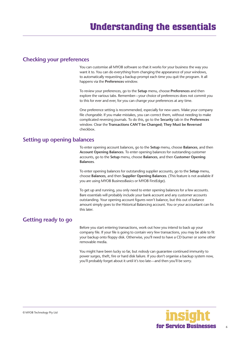### <span id="page-5-0"></span>**Checking your preferences**

You can customise all MYOB software so that it works for your business the way you want it to. You can do everything from changing the appearance of your windows, to automatically requesting a backup prompt each time you quit the program. It all happens via the **Preferences** window.

To review your preferences, go to the **Setup** menu, choose **Preferences** and then explore the various tabs. Remember—your choice of preferences does not commit you to this for ever and ever, for you can change your preferences at any time.

One preference setting is recommended, especially for new users. Make your company file *changeable*. If you make mistakes, you can correct them, without needing to make complicated reversing journals. To do this, go to the **Security** tab in the **Preferences** window. Clear the **Transactions CAN'T be Changed; They Must be Reversed**  checkbox.

### **Setting up opening balances**

To enter opening account balances, go to the **Setup** menu, choose **Balances**, and then **Account Opening Balances**. To enter opening balances for outstanding customer accounts, go to the **Setup** menu, choose **Balances**, and then **Customer Opening Balances**.

To enter opening balances for outstanding supplier accounts, go to the **Setup** menu, choose **Balances**, and then **Supplier Opening Balances**. (This feature is not available if you are using MYOB BusinessBasics or MYOB FirstEdge).

To get up and running, you only need to enter opening balances for a few accounts. Bare essentials will probably include your bank account and any customer accounts outstanding. Your opening account figures won't balance, but this out of balance amount simply goes to the Historical Balancing account. You or your accountant can fix this later.

### **Getting ready to go**

Before you start entering transactions, work out how you intend to back up your company file. If your file is going to contain very few transactions, you may be able to fit your backup onto floppy disk. Otherwise, you'll need to have a CD burner or some other removable media.

You might have been lucky so far, but *nobody* can guarantee continued immunity to power surges, theft, fire or hard disk failure. If you don't organise a backup system now, you'll probably forget about it until it's too late—and then you'll be sorry.

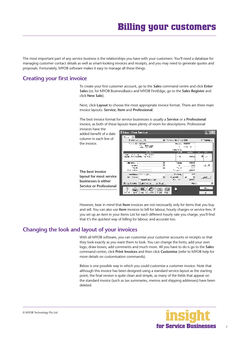<span id="page-6-0"></span>The most important part of any service business is the relationships you have with your customers. You'll need a database for managing customer contact details as well as smart-looking invoices and receipts, and you may need to generate quotes and proposals. Fortunately, MYOB software makes it easy to manage all these things.

### **Creating your first invoice**

To create your first customer account, go to the **Sales** command centre and click **Enter Sales** (or, for MYOB BusinessBasics and MYOB FirstEdge, go to the **Sales Register** and click **New Sale**).

Next, click **Layout** to choose the most appropriate invoice format. There are three main invoice layouts: **Service**, **Item** and **Professional**.

The best invoice format for service businesses is usually a **Service** or a **Professional**  invoice, as both of these layouts leave plenty of room for descriptions. Professional

invoices have the added benefit of a date column in each line of the invoice.

**The best invoice** 



However, bear in mind that **Item** invoices are not necessarily only for items that you buy and sell. You can also use **Item** invoices to bill for labour, hourly charges or service fees. If you set up an item in your Items List for each different hourly rate you charge, you'll find that it's the quickest way of billing for labour, and accurate too.

### **Changing the look and layout of your invoices**

With all MYOB software, you can customise your customer accounts or receipts so that they look exactly as you want them to look. You can change the fonts; add your own logo; draw boxes; add comments and much more. All you have to do is go to the **Sales**  command centre; click **Print Invoices** and then click **Customise** (refer to MYOB help for more details on customisation commands).

Below is one possible way in which you could customise a customer invoice. Note that although this invoice has been designed using a standard service layout as the starting point, the final version is quite clean and simple, as many of the fields that appear on the standard invoice (such as tax summaries, memos and shipping addresses) have been deleted.

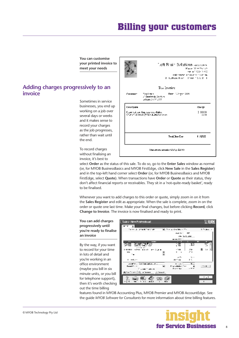# **Billing your customers**

**You can customise your printed invoice to meet your needs**

### <span id="page-7-0"></span>**Adding charges progressively to an invoice**

Sometimes in service businesses, you end up working on a job over several days or weeks and it makes sense to record your charges as the job progresses, rather than wait until the end.

To record charges without finalising an invoice, it's best to

Left Brain Solutions -vocume **Marcel (Combo** 192 we an your your cash: water is they now haven be-2. Luthan Stick - Minst, 18 w 2. 11 Tax Envoice Demo Subrigation 2004 Yast ver Customeral **femisiska** Gertare External SAW 2777 Descrition **Clarge** lling vid in faquin condition.<br>Charles description distribution  $\frac{20000}{1111}$ Total New Day 11011 Sharomone aneeder (2319) 63330

select **Order** as the status of this sale. To do so, go to the **Enter Sales** window as normal (or, for MYOB BusinessBasics and MYOB FirstEdge, click **New Sale** in the **Sales Register**) and in the top-left hand corner select **Order** (or, for MYOB BusinessBasics and MYOB FirstEdge, select **Quote**). When transactions have **Order** or **Quote** as their status, they don't affect financial reports or receivables. They sit in a 'not-quite-ready basket', ready to be finalised.

Whenever you want to add charges to this order or quote, simply zoom in on it from the **Sales Register** and edit as appropriate. When the sale is complete, zoom in on the order or quote one last time. Make your final changes, but before clicking **Record**, click **Change to Invoice**. The invoice is now finalised and ready to print.

**You can add charges progressively until you're ready to finalise an invoice** 

By the way, if you want to record for your time in lots of detail and you're working in an office environment (maybe you bill in six minute units, or you bill for telephone support), then it's worth checking out the time billing



features found in MYOB Accounting Plus, MYOB Premier and MYOB AccountEdge. See the guide *MYOB Software for Consultants* for more information about time billing features.

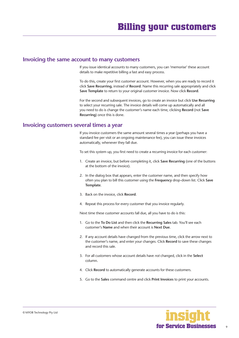#### <span id="page-8-0"></span>**Invoicing the same account to many customers**

If you issue identical accounts to many customers, you can 'memorise' these account details to make repetitive billing a fast and easy process.

To do this, create your first customer account. However, when you are ready to record it click **Save Recurring**, instead of **Record**. Name this recurring sale appropriately and click **Save Template** to return to your original customer invoice. Now click **Record**.

For the second and subsequent invoices, go to create an invoice but click **Use Recurring** to select your recurring sale. The invoice details will come up automatically and all you need to do is change the customer's name each time, clicking **Record** (not **Save Recurring**) once this is done.

### **Invoicing customers several times a year**

If you invoice customers the same amount several times a year (perhaps you have a standard fee per visit or an ongoing maintenance fee), you can issue these invoices automatically, whenever they fall due.

To set this system up, you first need to create a recurring invoice for each customer:

- 1. Create an invoice, but before completing it, click **Save Recurring** (one of the buttons at the bottom of the invoice).
- 2. In the dialog box that appears, enter the customer name, and then specify how often you plan to bill this customer using the **Frequency** drop-down list. Click **Save Template**.
- 3. Back on the invoice, click **Record**.
- 4. Repeat this process for every customer that you invoice regularly.

Next time these customer accounts fall due, all you have to do is this:

- 1. Go to the **To Do List** and then click the **Recurring Sales** tab. You'll see each customer's **Name** and when their account is **Next Due**.
- 2. If any account details have changed from the previous time, click the arrow next to the customer's name, and enter your changes. Click **Record** to save these changes and record this sale.
- 3. For all customers whose account details have *not* changed, click in the **Select** column.
- 4. Click **Record** to automatically generate accounts for these customers.
- 5. Go to the **Sales** command centre and click **Print Invoices** to print your accounts.

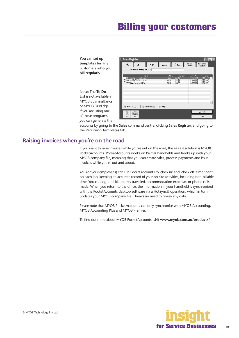### **Billing your customers**

<span id="page-9-0"></span>**You can set up templates for any customers who you bill regularly**

**Note**: The **To Do List** is not available in MYOB BusinessBasics or MYOB FirstEdge. If you are using one of these programs, you can generate the

| <b>Salas Register</b>                                                   |                          |                                             |                                                  |           |
|-------------------------------------------------------------------------|--------------------------|---------------------------------------------|--------------------------------------------------|-----------|
| ia   u   pa   ba   94   920<br>À,                                       |                          |                                             |                                                  |           |
| mouth the management of                                                 |                          |                                             |                                                  |           |
| <b>Fair</b>                                                             | Ab .                     | <b>EVIDY</b>                                |                                                  | The State |
| 24 Summer 102 an<br>the controller of the con-<br>concern for more con- | m<br><b>Arena</b><br>mт. | <b>Unity</b><br><b>INSE</b><br><b>INSER</b> | 1,482.11<br><b>BIOGRAPH</b><br><b>In Castled</b> | 513au 1   |
| a contractor for a                                                      | 'wa                      | $\mathbf{r}$                                | <b>PAYMA</b>                                     | 건         |
|                                                                         |                          |                                             |                                                  |           |
|                                                                         |                          |                                             |                                                  |           |
|                                                                         |                          |                                             |                                                  |           |
| 第1000 m , 我orboard, 你 do                                                |                          |                                             |                                                  | E.        |
|                                                                         |                          |                                             |                                                  | Lunds     |
| ٠r٢                                                                     |                          |                                             |                                                  | $\cdot$ . |

accounts by going to the **Sales** command centre, clicking **Sales Register**, and going to the **Recurring Templates** tab.

### **Raising invoices when you're on the road**

If you want to raise invoices while you're out on the road, the easiest solution is MYOB PocketAccounts. PocketAccounts works on Palm® handhelds and hooks up with your MYOB company file, meaning that you can create sales, process payments and issue invoices while you're out and about.

You (or your employees) can use PocketAccounts to 'clock in' and 'clock off' time spent on each job, keeping an accurate record of your on-site activities, including non-billable time. You can log total kilometres travelled, accommodation expenses or phone calls made. When you return to the office, the information in your handheld is synchronised with the PocketAccounts desktop software via a HotSync® operation, which in turn updates your MYOB company file. There's no need to re-key any data.

Please note that MYOB PocketAccounts can only synchronise with MYOB Accounting, MYOB Accounting Plus and MYOB Premier.

To find out more about MYOB PocketAccounts, visit **www.myob.com.au/products/** 

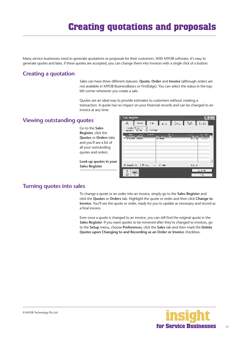# **Creating quotations and proposals**

<span id="page-10-0"></span>Many service businesses need to generate quotations or proposals for their customers. With MYOB software, it's easy to generate quotes and later, if these quotes are accepted, you can change them into invoices with a single click of a button.

### **Creating a quotation**

Sales can have three different statuses: **Quote**, **Order** and **Invoice** (although orders are not available in MYOB BusinessBasics or FirstEdge). You can select the status in the topleft corner whenever you create a sale.

Quotes are an ideal way to provide estimates to customers without creating a transaction. A quote has no impact on your financial records and can be changed to an invoice at any time.

**Giac Redder** 

### **Viewing outstanding quotes**

|                              | л.,<br>الأشعال والمستقطات والمحاط المتلاط المتحال                      |                             |
|------------------------------|------------------------------------------------------------------------|-----------------------------|
| Go to the Sales              | <b>Stringly New Article</b><br>having Them I is Freezon                |                             |
| <b>Register, click the</b>   | いれた<br>प्राप्त<br>.                                                    |                             |
| <b>Quotes or Orders tabs</b> | Kan in Group All<br>н стал галал.<br>. en Areas                        | $11 - 11$<br>11M<br>1.11111 |
| and you'll see a list of     |                                                                        |                             |
| all your outstanding         |                                                                        |                             |
| quotes and orders.           |                                                                        |                             |
|                              |                                                                        |                             |
| Look up quotes in your       |                                                                        |                             |
| <b>Sales Register</b>        | ∰ Segak I bi<br><b>COLLEGE</b><br>$\mathbf{H} = \mathbf{H} \mathbf{H}$ | $1.1$ $A$                   |
|                              |                                                                        | a stak                      |
|                              |                                                                        | $\cdot \cdot \nu$           |

### **Turning quotes into sales**

To change a quote or an order into an invoice, simply go to the **Sales Register** and click the **Quotes** or **Orders** tab. Highlight the quote or order and then click **Change to Invoice**. You'll see the quote or order, ready for you to update as necessary and record as a final invoice.

Even once a quote is changed to an invoice, you can still find the original quote in the **Sales Register**. If you want quotes to be removed after they're changed to invoices, go to the **Setup** menu, choose **Preferences**, click the **Sales** tab and then mark the **Delete Quotes upon Changing to and Recording as an Order or Invoice** checkbox.



L Inlix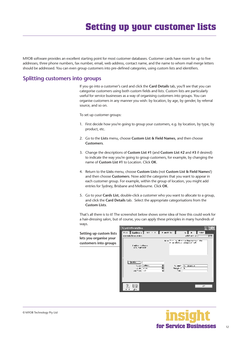<span id="page-11-0"></span>MYOB software provides an excellent starting point for most customer databases. Customer cards have room for up to five addresses, three phone numbers, fax number, email, web address, contact name, and the name to whom mail merge letters should be addressed. You can even group customers into pre-defined categories, using custom lists and identifiers.

### **Splitting customers into groups**

If you go into a customer's card and click the **Card Details** tab, you'll see that you can categorise customers using both custom fields and lists. Custom lists are particularly useful for service businesses as a way of organising customers into groups. You can organise customers in any manner you wish: by location, by age, by gender, by referral source, and so on.

To set up customer groups:

- 1. First decide how you're going to group your customers, e.g. by location, by type, by product, etc.
- 2. Go to the **Lists** menu, choose **Custom List & Field Names**, and then choose **Customers**.
- 3. Change the descriptions of **Custom List #1** (and **Custom List #2** and **#3** if desired) to indicate the way you're going to group customers, for example, by changing the name of **Custom List #1** to Location. Click **OK**.
- 4. Return to the **Lists** menu, choose **Custom Lists** (not **Custom List & Field Names**!) and then choose **Customers**. Now add the categories that you want to appear in each customer group. For example, within the group of location, you might add entries for Sydney, Brisbane and Melbourne. Click **OK**.
- 5. Go to your **Cards List**, double-click a customer who you want to allocate to a group, and click the **Card Details** tab. Select the appropriate categorisations from the **Custom Lists**.

That's all there is to it! The screenshot below shows some idea of how this could work for a hair-dressing salon, but of course, you can apply these principles in many hundreds of ways.

**Setting up custom lists lets you organise your customers into groups**



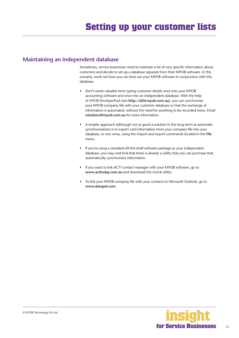### <span id="page-12-0"></span>**Maintaining an independent database**

Sometimes, service businesses need to maintain a lot of very specific information about customers and decide to set up a database separate from their MYOB software. In this scenario, work out how you can best use your MYOB software in conjunction with this database.

- Don't waste valuable time typing customer details once into your MYOB accounting software and once into an independent database. With the help of *MYOB DeveloperPack* (see **http://d2d.myob.com.au**), you can synchronise your MYOB company file with your customer database so that the exchange of information is automated, without the need for anything to be recorded twice. Email **solutions@myob.com.au** for more information.
- A simpler approach (although not as good a solution in the long-term as automatic synchronisation) is to export card information from your company file into your database, or vice versa, using the import and export commands located in the **File**  menu.
- If you're using a standard off-the-shelf software package as your independent database, you may well find that there is already a utility that you can purchase that automatically synchronises information.
- If you want to link ACT! contact manager with your MYOB software, go to **www.acttoday.com.au** and download the mLink utility.
- To link your MYOB company file with your contacts in Microsoft Outlook, go to **www.datapel.com**.

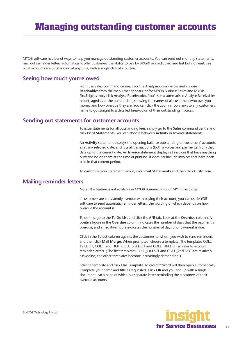<span id="page-13-0"></span>MYOB software has lots of ways to help you manage outstanding customer accounts. You can send out monthly statements, mail out reminder letters automatically, offer customers the ability to pay by BPAY® or credit card and last but not least, see what accounts are outstanding at any time, with a single click of a button.

### **Seeing how much you're owed**

From the **Sales** command centre, click the **Analysis** down-arrow and choose **Receivables** from the menu that appears, or for MYOB BusinessBasics and MYOB FirstEdge, simply click **Analyse Receivables**. You'll see a summarised Analyse Receivables report, aged as at the current date, showing the names of all customers who owe you money and how overdue they are. You can click the zoom arrows next to any customer's name to go straight to a detailed breakdown of their outstanding invoices.

### **Sending out statements for customer accounts**

To issue statements for all outstanding fees, simply go to the **Sales** command centre and click **Print Statements**. You can choose between **Activity** or **Invoice** statements.

An **Activity** statement displays the opening balance outstanding on customers' accounts as at any selected date, and lists all transactions (both invoices and payments) from that date up to the current date. An **Invoice** statement displays all invoices that have anything outstanding on them at the time of printing. It does *not* include invoices that have been paid in that current period.

To customise your statement layout, click **Print Statements** and then click **Customise**.

### **Mailing reminder letters**

Note: This feature is not available in MYOB BusinessBasics or MYOB FirstEdge.

If customers are consistently overdue with paying their account, you can use MYOB software to send automatic reminder letters, the wording of which depends on how overdue the account is.

To do this, go to the **To Do List** and click the **A/R** tab. Look at the **Overdue** column. A positive figure in the **Overdue** column indicates the number of days that the payment is overdue, and a negative figure indicates the number of days until payment is due.

Click in the **Select** column against the customers to whom you wish to send reminders, and then click **Mail Merge**. When prompted, choose a template. The templates COLL\_ 1ST.DOT, COLL\_2nd.DOT, COLL\_3rd.DOT and COLL\_FIN.DOT all refer to account reminder letters. (The first templates COLL\_1st.DOT and COLL\_2nd.DOT are relatively easygoing; the other templates become increasingly demanding!)

Select a template and click **Use Template**. Microsoft® Word will then open automatically. Complete your name and title as requested. Click **OK** and you end up with a single document, each page of which is a separate letter reminding the customers of their overdue accounts.

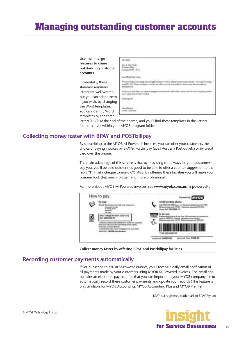# <span id="page-14-0"></span>**Managing outstanding customer accounts**

| Use mail merge<br>features to chase<br>outstanding customer<br>accounts |  |
|-------------------------------------------------------------------------|--|
| Incidentally, these<br>standard reminder                                |  |
| letters are well written,                                               |  |
| but you can adapt them                                                  |  |
| if you wish, by changing                                                |  |
| the Word templates.                                                     |  |
| You can identify Word                                                   |  |
| templates by the three                                                  |  |

letters 'DOT' at the end of their name, and you'll find these templates in the Letters folder that sits within your MYOB program folder.

### **Collecting money faster with BPAY and POSTbillpay**

By subscribing to the MYOB M-Powered<sup>®</sup> invoices, you can offer your customers the choice of paying invoices by BPAY®, Postbillpay (at all Australia Post outlets) or by credit card over the phone.

The main advantage of this service is that by providing more ways for your customers to pay you, you'll be paid quicker (it's good to be able to offer a counter-suggestion to the reply "I'll mail a cheque tomorrow"). Also, by offering these facilities you will make your business look that much 'bigger' and more professional.

For more about MYOB M-Powered invoices, see **www.myob.com.au/m-powered**/ .



**Collect money faster by offering BPAY and Postbillpay facilities**

### **Recording customer payments automatically**

If you subscribe to *MYOB M-Powered invoices*, you'll receive a daily email notification of all payments made by your customers using MYOB M-Powered invoices. The email also contains an electronic payment file that you can import into your MYOB company file to automatically record these customer payments and update your records (This feature is only available for MYOB Accounting, MYOB Accounting Plus and MYOB Premier).

BPAY is a registered trademark of BPAY Pty Ltd

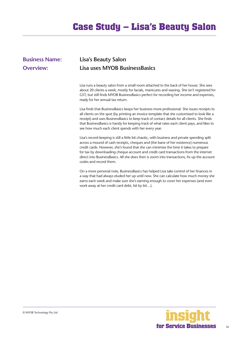# **Case Study – Lisa's Beauty Salon**

### <span id="page-15-0"></span>**Business Name: Lisa's Beauty Salon Overview: Lisa uses MYOB BusinessBasics**

Lisa runs a beauty salon from a small room attached to the back of her house. She sees about 20 clients a week, mostly for facials, manicures and waxing. She isn't registered for GST, but still finds MYOB BusinessBasics perfect for recording her income and expenses, ready for her annual tax return.

Lisa finds that BusinessBasics keeps her business more professional. She issues receipts to all clients on the spot (by printing an invoice template that she customised to look like a receipt) and uses BusinessBasics to keep track of contact details for all clients. She finds that BusinessBasics is handy for keeping track of what rates each client pays, and likes to see how much each client spends with her every year.

Lisa's record-keeping is still a little bit chaotic, with business and private spending split across a mound of cash receipts, cheques and (the bane of her existence) numerous credit cards. However, she's found that she can minimise the time it takes to prepare for tax by downloading cheque account and credit card transactions from the internet direct into BusinessBasics. All she does then is zoom into transactions, fix up the account codes and record them.

On a more personal note, BusinessBasics has helped Lisa take control of her finances in a way that had always eluded her up until now. She can calculate how much money she earns each week and make sure she's earning enough to cover her expenses (and even work away at her credit card debt, bit by bit…).

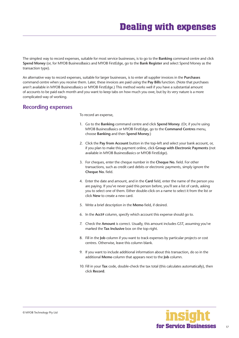<span id="page-16-0"></span>The simplest way to record expenses, suitable for most service businesses, is to go to the **Banking** command centre and click **Spend Money** (or, for MYOB BusinessBasics and MYOB FirstEdge, go to the **Bank Register** and select Spend Money as the transaction type).

An alternative way to record expenses, suitable for larger businesses, is to enter all supplier invoices in the **Purchases** command centre when you receive them. Later, these invoices are paid using the **Pay Bills** function. (Note that purchases aren't available in MYOB BusinessBasics or MYOB FirstEdge.) This method works well if you have a substantial amount of accounts to be paid each month and you want to keep tabs on how much you owe, but by its very nature is a more complicated way of working.

### **Recording expenses**

To record an expense,

- 1. Go to the **Banking** command centre and click **Spend Money**. (Or, if you're using MYOB BusinessBasics or MYOB FirstEdge, go to the **Command Centres** menu, choose **Banking** and then **Spend Money**.)
- 2. Click the **Pay from Account** button in the top-left and select your bank account, or, if you plan to make this payment online, click **Group with Electronic Payments** (not available in MYOB BusinessBasics or MYOB FirstEdge).
- 3. For cheques, enter the cheque number in the **Cheque No.** field. For other transactions, such as credit card debits or electronic payments, simply ignore the **Cheque No.** field.
- 4. Enter the date and amount, and in the **Card** field, enter the name of the person you are paying. If you've never paid this person before, you'll see a list of cards, asking you to select one of them. Either double-click on a name to select it from the list or click **New** to create a new card.
- 5. Write a brief description in the **Memo** field, if desired.
- 6. In the **Acct#** column, specify which account this expense should go to.
- 7. Check the **Amount** is correct. Usually, this amount includes GST, assuming you've marked the **Tax Inclusive** box on the top-right.
- 8. Fill in the **Job** column if you want to track expenses by particular projects or cost centres. Otherwise, leave this column blank.
- 9. If you want to include additional information about this transaction, do so in the additional **Memo** column that appears next to the **Job** column.
- 10. Fill in your **Tax** code, double-check the tax total (this calculates automatically), then click **Record**.

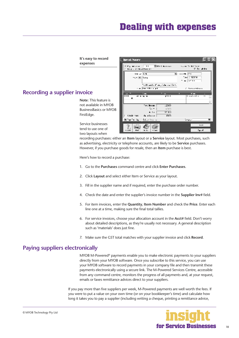## **Dealing with expenses**

<span id="page-17-0"></span>

Here's how to record a purchase:

- 1. Go to the **Purchases** command centre and click **Enter Purchases**.
- 2. Click **Layout** and select either Item or Service as your layout.
- 3. Fill in the supplier name and if required, enter the purchase order number.
- 4. Check the date and enter the supplier's invoice number in the **Supplier Inv#** field.
- 5. For item invoices, enter the **Quantity**, **Item Number** and check the **Price**. Enter each line one at a time, making sure the final total tallies.
- 6. For service invoices, choose your allocation account in the **Acct#** field. Don't worry about detailed descriptions, as they're usually not necessary. A general description such as 'materials' does just fine.
- 7. Make sure the GST total matches with your supplier invoice and click **Record**.

### **Paying suppliers electronically**

MYOB M-Powered® payments enable you to make electronic payments to your suppliers directly from your MYOB software. Once you subscribe to this service, you can use your MYOB software to record payments in your company file and then transmit these payments electronically using a secure link. The M-Powered Services Centre, accessible from any command centre, monitors the progress of all payments and, at your request, emails or faxes remittance advices direct to your suppliers.

If you pay more than five suppliers per week, M-Powered payments are well worth the fees. If you were to put a value on your own time (or on your bookkeeper's time) and calculate how long it takes you to pay a supplier (including writing a cheque, printing a remittance advice,

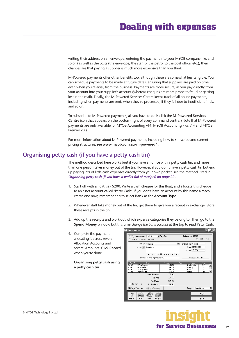writing their address on an envelope, entering the payment into your MYOB company file, and so on) as well as the costs (the envelope, the stamp, the petrol to the post office, etc.), then chances are that paying a supplier is much more expensive than you think.

M-Powered payments offer other benefits too, although these are somewhat less tangible. You can schedule payments to be made at future dates, ensuring that suppliers are paid on time, even when you're away from the business. Payments are more secure, as you pay directly from your account into your supplier's account (whereas cheques are more prone to fraud or getting lost in the mail). Finally, the M-Powered Services Centre keeps track of all online payments, including when payments are sent, when they're processed, if they fail due to insufficient finds, and so on.

To subscribe to M-Powered payments, all you have to do is click the **M-Powered Services Centre** icon that appears on the bottom-right of every command centre. (Note that M-Powered payments are only available for MYOB Accounting v14, MYOB Accounting Plus v14 and MYOB Premier v8.)

For more information about M-Powered payments, including how to subscribe and current pricing structures, see **www.myob.com.au/m-powered**/ .

#### **Organising petty cash (if you have a petty cash tin)**

The method described here works best if you have an office with a petty cash tin, and more than one person takes money out of the tin. However, if you don't have a petty cash tin but end up paying lots of little cash expenses directly from your own pocket, see the method listed in *[Organising petty cash \(if you have a wallet full of receipts\) on page 20](#page-19-0)* .

- 1. Start off with a float, say \$200. Write a cash cheque for this float, and allocate this cheque to an asset account called 'Petty Cash'. If you don't have an account by this name already, create one now, remembering to select **Bank** as the **Account Type**.
- 2. Whenever staff take money out of the tin, get them to give you a receipt in exchange. Store these receipts in the tin.
- 3. Add up the receipts and work out which expense categories they belong to. Then go to the **Spend Money** window but this time *change the bank account* at the top to read Petty Cash**.**
- 4. Complete the payment, allocating it across several Allocation Accounts and several Amounts. Click **Record**  when you're done.

**Organising petty cash using a petty cash tin**

| <b>Historica</b>                                                                               |                                              |                                                             | <b>TER</b> |
|------------------------------------------------------------------------------------------------|----------------------------------------------|-------------------------------------------------------------|------------|
| ④ Tell and work [ 村 K ] [ 夏 Telj Suit<br>бон активно день                                      |                                              | District (SCD)<br>E ek                                      | $\sim$ 1   |
| tin e literatur.<br>nye ⊡ ToeCar                                                               |                                              | Dear miteer:<br>Case (SEMIC 2002)<br>vrus III 100           |            |
| leave the company of the                                                                       | and the control form in a single large       | Consection de                                               |            |
| <b>Support</b><br>$\overline{1}$<br>: 0<br>.<br>.<br>$-711$<br>Settlement <del>de</del><br>-55 | <b>CALL</b><br>्राज<br>99 H<br>se i<br>متعاد | Kz.<br><b>TOM</b><br><b>Fair 15.</b><br>han b<br>ы,<br>Kana | л.         |
| de rock, rel<br>Te-see<br>TAJNEL.                                                              | .1900<br>$-0.5$<br>45%                       |                                                             |            |
| ≐ b- m<br><b>College</b><br>նիներ թվար (փկանու≟չ                                               | 111                                          | Sago, The Orio                                              |            |
| <b>Fig. 17</b><br>и.<br><b>Kansen</b>                                                          |                                              | mi, I<br>Len a                                              |            |

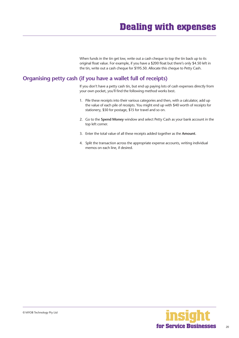When funds in the tin get low, write out a cash cheque to top the tin back up to its original float value. For example, if you have a \$200 float but there's only \$4.50 left in the tin, write out a cash cheque for \$195.50. Allocate this cheque to Petty Cash.

### <span id="page-19-0"></span>**Organising petty cash (if you have a wallet full of receipts)**

If you don't have a petty cash tin, but end up paying lots of cash expenses directly from your own pocket, you'll find the following method works best.

- 1. Pile these receipts into their various categories and then, with a calculator, add up the value of each pile of receipts. You might end up with \$40 worth of receipts for stationery, \$50 for postage, \$15 for travel and so on.
- 2. Go to the **Spend Money** window and select Petty Cash as your bank account in the top left corner.
- 3. Enter the total value of all these receipts added together as the **Amount**.
- 4. Split the transaction across the appropriate expense accounts, writing individual memos on each line, if desired.

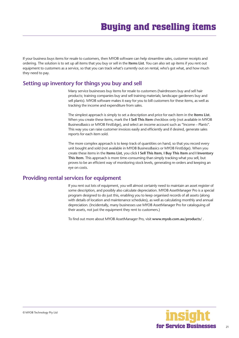<span id="page-20-0"></span>If your business buys items for resale to customers, then MYOB software can help streamline sales, customer receipts and ordering. The solution is to set up all items that you buy or sell in the **Items List**. You can also set up items if you rent out equipment to customers as a service, so that you can track what's currently out on rental, who's got what, and how much they need to pay.

### **Setting up inventory for things you buy and sell**

Many service businesses buy items for resale to customers (hairdressers buy and sell hair products; training companies buy and sell training materials; landscape gardeners buy and sell plants). MYOB software makes it easy for you to bill customers for these items, as well as tracking the income and expenditure from sales.

The simplest approach is simply to set a description and price for each item in the **Items List**. When you create these items, mark the **I Sell This Item** checkbox only (not available in MYOB BusinessBasics or MYOB FirstEdge), and select an income account such as "Income – Plants". This way you can raise customer invoices easily and efficiently and if desired, generate sales reports for each item sold.

The more complex approach is to keep track of quantities on hand, so that you record every unit bought and sold (not available in MYOB BusinessBasics or MYOB FirstEdge). When you create these items in the **Items List**, you click **I Sell This Item**, **I Buy This Item** and **I Inventory This Item**. This approach is more time-consuming than simply tracking what you sell, but proves to be an efficient way of monitoring stock levels, generating re-orders and keeping an eye on costs.

### **Providing rental services for equipment**

If you rent out lots of equipment, you will almost certainly need to maintain an asset register of some description, and possibly also calculate depreciation. MYOB AssetManager Pro is a special program designed to do just this, enabling you to keep organised records of all assets (along with details of location and maintenance schedules), as well as calculating monthly and annual depreciation. (Incidentally, many businesses use MYOB AssetManager Pro for cataloguing *all*  their assets, not just the equipment they rent to customers.)

To find out more about MYOB AssetManager Pro, visit **www.myob.com.au/products/** .

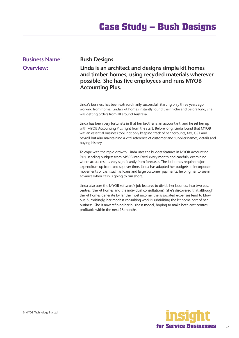# **Case Study – Bush Designs**

### **Overview: Linda is an architect and designs simple kit homes and timber homes, using recycled materials wherever possible. She has five employees and runs MYOB Accounting Plus.** Linda's business has been extraordinarily successful. Starting only three years ago working from home, Linda's kit homes instantly found their niche and before long, she was getting orders from all around Australia. Linda has been very fortunate in that her brother is an accountant, and he set her up with MYOB Accounting Plus right from the start. Before long, Linda found that MYOB was an essential business tool, not only keeping track of her accounts, tax, GST and payroll but also maintaining a vital reference of customer and supplier names, details and buying history. To cope with the rapid growth, Linda uses the budget features in MYOB Accounting Plus, sending budgets from MYOB into Excel every month and carefully examining where actual results vary significantly from forecasts. The kit homes require major expenditure up front and so, over time, Linda has adapted her budgets to incorporate movements of cash such as loans and large customer payments, helping her to see in advance when cash is going to run short.

<span id="page-21-0"></span>**Business Name: Bush Designs**

Linda also uses the MYOB software's job features to divide her business into two cost centres (the kit homes and the individual consultations). She's discovered that although the kit homes generate by far the most income, the associated expenses tend to blow out. Surprisingly, her modest consulting work is subsidising the kit home part of her business. She is now refining her business model, hoping to make both cost centres profitable within the next 18 months.

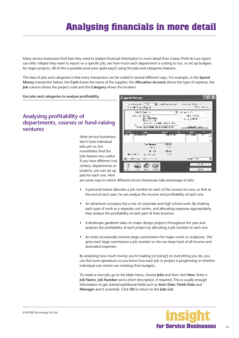<span id="page-22-0"></span>Many service businesses find that they need to analyse financial information in more detail than a basic Profit & Loss report can offer. Maybe they want to report on a specific job, see how much each department is costing to run, or set up budgets for major projects. All of this is possible (and even quite easy!) using the jobs and categories features.

The idea of jobs and categories is that every transaction can be coded in several different ways. For example, in the **Spend Money** transaction below, the **Card** shows the name of the supplier; the **Allocation Account** shows the type of expense, the **Job** column shows the project code and the **Category** shows the location.

**Use jobs and categories to analyse profitability** 

### **Analysing profitability of departments, courses or fund-raising ventures**

Most service businesses don't have individual jobs per se, but nonetheless find the jobs feature very useful. If you have different cost centres, departments or projects, you can set up jobs for each one. Here



are some ways in which different service businesses take advantage of jobs:

- A personal trainer allocates a job number to each of the courses he runs, so that at the end of each year, he can analyse the income and profitability of each one.
- An adventure company has a mix of corporate and high school work. By treating each type of work as a separate cost centre, and allocating expenses appropriately, they analyse the profitability of each part of their business.
- A landscape gardener takes on major design projects throughout the year and analyses the profitability of each project by allocating a job number to each one.
- An artist occasionally receives large commissions for major works or sculptures. She gives each large commission a job number so she can keep track of all income and associated expenses.

By analysing how much money you're making (or losing!) on everything you do, you can fine-tune operations so you know how each job or project is progressing or whether individual cost centres are meeting their budgets.

To create a new job, go to the **Lists** menu, choose **Jobs** and then click **New**. Enter a **Job Name**, **Job Number** and a short description, if required. This is usually enough information to get started (additional fields such as **Start Date**, **Finish Date** and **Manager** aren't essential). Click **OK** to return to the **Jobs List**.

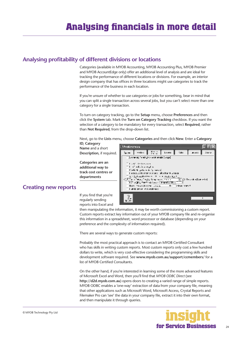### <span id="page-23-0"></span>**Analysing profitability of different divisions or locations**

Categories (available in MYOB Accounting, MYOB Accounting Plus, MYOB Premier and MYOB AccountEdge only) offer an additional level of analysis and are ideal for tracking the performance of different locations or divisions. For example, an interior design company that has offices in three locations might use categories to track the performance of the business in each location.

If you're unsure of whether to use categories or jobs for something, bear in mind that you can split a single transaction across several jobs, but you can't select more than one category for a single transaction.

To turn on category tracking, go to the **Setup** menu, choose **Preferences** and then click the **System** tab. Mark the **Turn on Category Tracking** checkbox. If you want the selection of a category to be mandatory for every transaction, select **Required**, rather than **Not Required**, from the drop-down list.

Next, go to the **Lists** menu, choose **Categories** and then click **New**. Enter a **Category** 

**ID**, **Category Name** and a short **Description**, if required.

**Categories are an additional way to track cost centres or departments**



### **Creating new reports**

If you find that you're regularly sending reports into Excel and

then manipulating the information, it may be worth commissioning a custom report. Custom reports extract key information out of your MYOB company file and re-organise this information in a spreadsheet, word processor or database (depending on your preference and the complexity of information required).

There are several ways to generate custom reports:

Probably the most practical approach is to contact an MYOB Certified Consultant who has skills in writing custom reports. Most custom reports only cost a few hundred dollars to write, which is very cost-effective considering the programming skills and development software required. See **www.myob.com.au/support/ccmembers/** for a list of MYOB Certified Consultants.

On the other hand, if you're interested in learning some of the more advanced features of Microsoft Excel and Word, then you'll find that *MYOB ODBC Direct* (see **http://d2d.myob.com.au**) opens doors to creating a varied range of simple reports. MYOB ODBC enables a 'one-way' extraction of data from your company file, meaning that other applications such as Microsoft Word, Microsoft Access, Crystal Reports and Filemaker Pro can 'see' the data in your company file, extract it into their own format, and then manipulate it through queries.

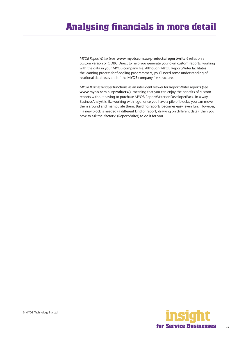*MYOB ReportWriter* (see **www.myob.com.au/products/reportwriter**) relies on a custom version of ODBC Direct to help you generate your own custom reports, working with the data in your MYOB company file. Although MYOB ReportWriter facilitates the learning process for fledgling programmers, you'll need some understanding of relational databases and of the MYOB company file structure.

*MYOB BusinessAnalyst* functions as an intelligent viewer for ReportWriter reports (see **www.myob.com.au/products/**), meaning that you can enjoy the benefits of custom reports without having to purchase MYOB ReportWriter or DeveloperPack. In a way, BusinessAnalyst is like working with lego: once you have a pile of blocks, you can move them around and manipulate them. Building reports becomes easy, even fun. However, if a new block is needed (a different kind of report, drawing on different data), then you have to ask the 'factory' (ReportWriter) to do it for you.

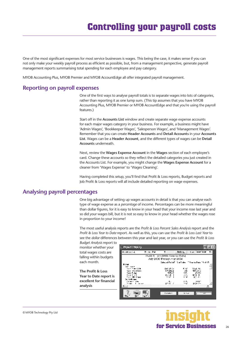<span id="page-25-0"></span>One of the most significant expenses for most service businesses is wages. This being the case, it makes sense if you can not only make your weekly payroll process as efficient as possible, but, from a management perspective, generate payroll management reports summarising total spending for each employee and pay category.

MYOB Accounting Plus, MYOB Premier and MYOB AccountEdge all offer integrated payroll management.

### **Reporting on payroll expenses**

One of the first ways to analyse payroll totals is to separate wages into lots of categories, rather than reporting it as one lump sum. (This tip assumes that you have MYOB Accounting Plus, MYOB Premier or MYOB AccountEdge and that you're using the payroll features.)

Start off in the **Accounts List** window and create separate wage expense accounts for each major wages category in your business. For example, a business might have 'Admin Wages', 'Bookkeeper Wages', 'Salesperson Wages', and 'Management Wages'. Remember that you can create **Header Accounts** and **Detail Accounts** in your **Accounts List**. Wages can be a **Header Account**, and the different types of wages can be **Detail Accounts** underneath.

Next, review the **Wages Expense Account** in the **Wages** section of each employee's card. Change these accounts so they reflect the detailed categories you just created in the Accounts List. For example, you might change the **Wages Expense Account** for a cleaner from 'Wages Expense' to 'Wages Cleaning'.

Having completed this setup, you'll find that Profit & Loss reports, Budget reports and Job Profit & Loss reports will all include detailed reporting on wage expenses.

### **Analysing payroll percentages**

One big advantage of setting up wages accounts in detail is that you can analyse each type of wage expense as a *percentage* of income. Percentages can be more meaningful than dollar figures, for it is easy to know in your head that your income rose last year and so did your wages bill, but it is not so easy to know in your head whether the wages rose in proportion to your income!

The most useful analysis reports are the *Profit & Loss Percent Sales Analysis* report and the *Profit & Loss Year to Date* report. As well as this, you can use the *Profit & Loss Last Year* to see the *dollar* differences between this year and last year, or you can use the *Profit & Loss* 

*Budget Analysis* report to monitor whether your total wages costs are falling within budgets each month.

**The Profit & Loss Year to Date report is excellent for financial analysis** 

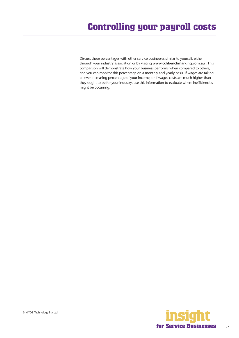Discuss these percentages with other service businesses similar to yourself, either through your industry association or by visiting **www.cchbenchmarking.com.au** . This comparison will demonstrate how your business performs when compared to others, and you can monitor this percentage on a monthly and yearly basis. If wages are taking an ever increasing percentage of your income, or if wages costs are much higher than they ought to be for your industry, use this information to evaluate where inefficiencies might be occurring.

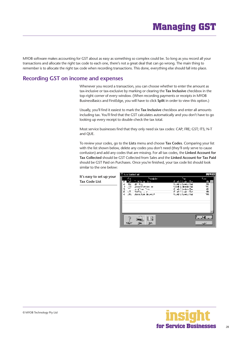# **Managing GST**

<span id="page-27-0"></span>MYOB software makes accounting for GST about as easy as something so complex could be. So long as you record all your transactions and allocate the right tax code to each one, there's not a great deal that can go wrong. The main thing to remember is to allocate the right tax code when recording transactions. This done, everything else should fall into place.

### **Recording GST on income and expenses**

Whenever you record a transaction, you can choose whether to enter the amount as tax-inclusive or tax-exclusive by marking or clearing the **Tax Inclusive** checkbox in the top-right corner of every window. (When recording payments or receipts in MYOB BusinessBasics and FirstEdge, you will have to click **Split** in order to view this option.)

Usually, you'll find it easiest to mark the **Tax Inclusive** checkbox and enter all amounts including tax. You'll find that the GST calculates automatically and you don't have to go looking up every receipt to double-check the tax total.

Most service businesses find that they only need six tax codes: CAP; FRE; GST; ITS; N-T and QUE.

To review your codes, go to the **Lists** menu and choose **Tax Codes**. Comparing your list with the list shown below, delete any codes you don't need (they'll only serve to cause confusion) and add any codes that are missing. For all tax codes, the **Linked Account for Tax Collected** should be GST Collected from Sales and the **Linked Account for Tax Paid**  should be GST Paid on Purchases. Once you're finished, your tax code list should look similar to the one below:

#### **It's easy to set up your Tax Code List**



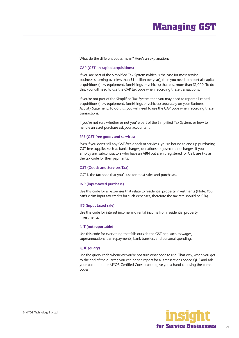# **Managing GST**

What do the different codes mean? Here's an explanation:

#### **CAP (GST on capital acquisitions)**

If you are part of the Simplified Tax System (which is the case for most service businesses turning over less than \$1 million per year), then you need to report all capital acquisitions (new equipment, furnishings or vehicles) that cost more than \$1,000. To do this, you will need to use the CAP tax code when recording these transactions.

If you're not part of the Simplified Tax System then you may need to report all capital acquisitions (new equipment, furnishings or vehicles) separately on your Business Activity Statement. To do this, you will need to use the CAP code when recording these transactions.

If you're not sure whether or not you're part of the Simplified Tax System, or how to handle an asset purchase ask your accountant.

#### **FRE (GST-free goods and services)**

Even if you don't sell any GST-free goods or services, you're bound to end up purchasing GST-free supplies such as bank charges, donations or government charges. If you employ any subcontractors who have an ABN but aren't registered for GST, use FRE as the tax code for their payments.

#### **GST (Goods and Services Tax)**

GST is the tax code that you'll use for most sales and purchases.

#### **INP (input-taxed purchase)**

Use this code for all expenses that relate to residential property investments (Note: You can't claim input tax credits for such expenses, therefore the tax rate should be 0%).

#### **ITS (input taxed sale)**

Use this code for interest income and rental income from residential property investments.

#### **N-T (not reportable)**

Use this code for everything that falls outside the GST net, such as wages; superannuation; loan repayments; bank transfers and personal spending.

#### **QUE (query)**

Use the query code whenever you're not sure what code to use. That way, when you get to the end of the quarter, you can print a report for all transactions coded QUE and ask your accountant or MYOB Certified Consultant to give you a hand choosing the correct codes.

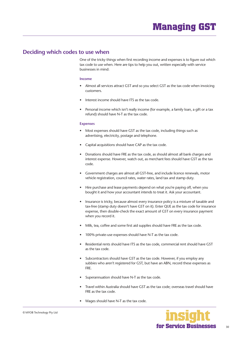### <span id="page-29-0"></span>**Deciding which codes to use when**

One of the tricky things when first recording income and expenses is to figure out which tax code to use when. Here are tips to help you out, written especially with service businesses in mind:

#### **Income**

- Almost all services attract GST and so you select GST as the tax code when invoicing customers.
- Interest income should have ITS as the tax code.
- Personal income which isn't really income (for example, a family loan, a gift or a tax refund) should have N-T as the tax code.

#### **Expenses**

- Most expenses should have GST as the tax code, including things such as advertising, electricity, postage and telephone.
- Capital acquisitions should have CAP as the tax code.
- Donations should have FRE as the tax code, as should almost all bank charges and interest expense. However, watch out, as merchant fees should have GST as the tax code.
- Government charges are almost all GST-free, and include licence renewals, motor vehicle registration, council rates, water rates, land tax and stamp duty.
- Hire purchase and lease payments depend on what you're paying off, when you bought it and how your accountant intends to treat it. Ask your accountant.
- Insurance is tricky, because almost every insurance policy is a mixture of taxable and tax-free (stamp duty doesn't have GST on it). Enter QUE as the tax code for insurance expense, then double-check the exact amount of GST on every insurance payment when you record it.
- Milk, tea, coffee and some first aid supplies should have FRE as the tax code.
- 100% private-use expenses should have N-T as the tax code.
- Residential rents should have ITS as the tax code, commercial rent should have GST as the tax code.
- Subcontractors should have GST as the tax code. However, if you employ any subbies who aren't registered for GST, but have an ABN, record these expenses as FRE.
- Superannuation should have N-T as the tax code.
- Travel within Australia should have GST as the tax code; overseas travel should have FRE as the tax code.
- Wages should have N-T as the tax code.